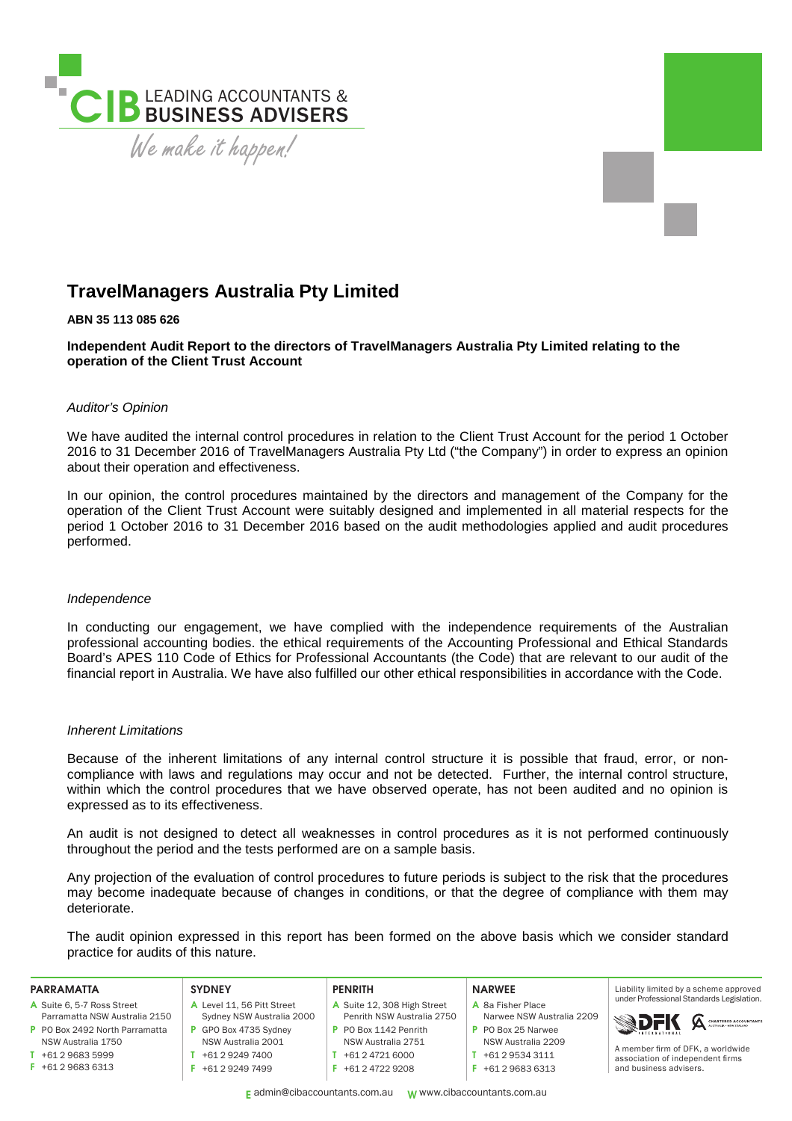

# **TravelManagers Australia Pty Limited**

## **ABN 35 113 085 626**

**Independent Audit Report to the directors of TravelManagers Australia Pty Limited relating to the operation of the Client Trust Account** 

## *Auditor's Opinion*

We have audited the internal control procedures in relation to the Client Trust Account for the period 1 October 2016 to 31 December 2016 of TravelManagers Australia Pty Ltd ("the Company") in order to express an opinion about their operation and effectiveness.

In our opinion, the control procedures maintained by the directors and management of the Company for the operation of the Client Trust Account were suitably designed and implemented in all material respects for the period 1 October 2016 to 31 December 2016 based on the audit methodologies applied and audit procedures performed.

#### *Independence*

In conducting our engagement, we have complied with the independence requirements of the Australian professional accounting bodies. the ethical requirements of the Accounting Professional and Ethical Standards Board's APES 110 Code of Ethics for Professional Accountants (the Code) that are relevant to our audit of the financial report in Australia. We have also fulfilled our other ethical responsibilities in accordance with the Code.

#### *Inherent Limitations*

Because of the inherent limitations of any internal control structure it is possible that fraud, error, or noncompliance with laws and regulations may occur and not be detected. Further, the internal control structure, within which the control procedures that we have observed operate, has not been audited and no opinion is expressed as to its effectiveness.

An audit is not designed to detect all weaknesses in control procedures as it is not performed continuously throughout the period and the tests performed are on a sample basis.

Any projection of the evaluation of control procedures to future periods is subject to the risk that the procedures may become inadequate because of changes in conditions, or that the degree of compliance with them may deteriorate.

The audit opinion expressed in this report has been formed on the above basis which we consider standard practice for audits of this nature.

| <b>PARRAMATTA</b>             | <b>SYDNEY</b>              | <b>PENRITH</b>              | <b>NARWEE</b>             | Liability limited by a scheme approved                     |
|-------------------------------|----------------------------|-----------------------------|---------------------------|------------------------------------------------------------|
| A Suite 6, 5-7 Ross Street    | A Level 11, 56 Pitt Street | A Suite 12, 308 High Street | A 8a Fisher Place         | under Professional Standards Legislation.                  |
| Parramatta NSW Australia 2150 | Sydney NSW Australia 2000  | Penrith NSW Australia 2750  | Narwee NSW Australia 2209 | <b>SDFK A CHARTER DACCOUNTANTS</b>                         |
| PO Box 2492 North Parramatta  | GPO Box 4735 Svdnev        | P PO Box 1142 Penrith       | P PO Box 25 Narwee        |                                                            |
| NSW Australia 1750            | NSW Australia 2001         | NSW Australia 2751          | NSW Australia 2209        | A member firm of DFK, a worldwide                          |
| +61 2 9683 5999               | +61 2 9249 7400            | $+61247216000$              | +61 2 9534 3111           | association of independent firms<br>and business advisers. |
| +61 2 9683 6313               | +61 2 9249 7499            | $F$ +61 2 4722 9208         | +61 2 9683 6313           |                                                            |
|                               |                            |                             |                           |                                                            |